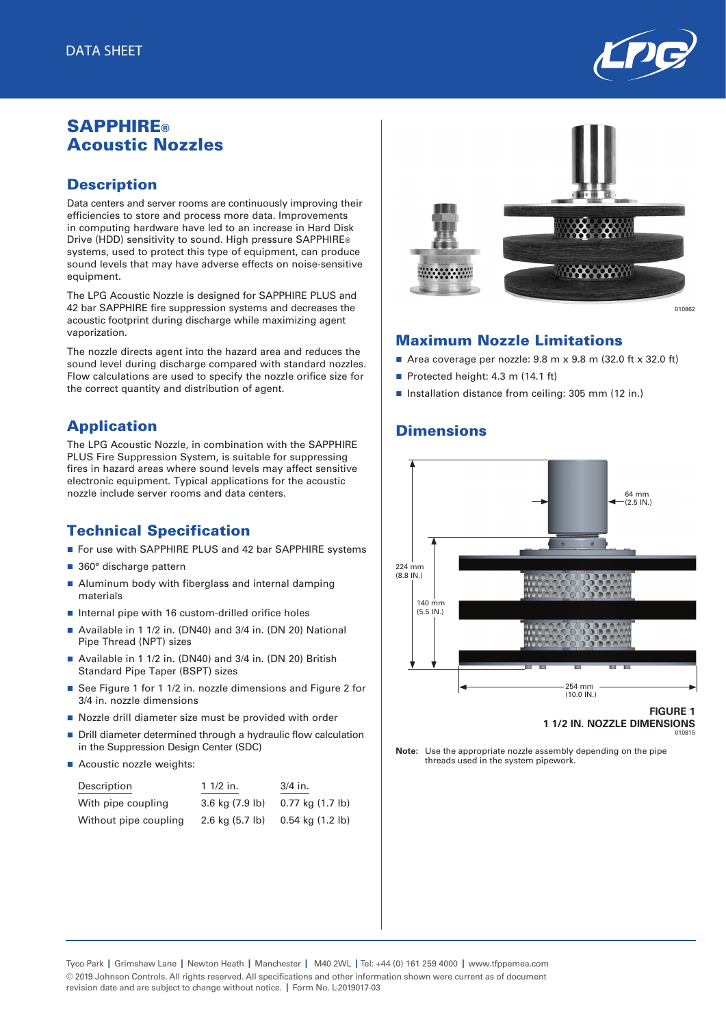

## **SAPPHIRE®** Acoustic Nozzles

### **Description**

Data centers and server rooms are continuously improving their efficiencies to store and process more data. Improvements in computing hardware have led to an increase in Hard Disk Drive (HDD) sensitivity to sound. High pressure SAPPHIRE® systems, used to protect this type of equipment, can produce sound levels that may have adverse effects on noise-sensitive equipment.

The LPG Acoustic Nozzle is designed for SAPPHIRE PLUS and 42 bar SAPPHIRE fire suppression systems and decreases the acoustic footprint during discharge while maximizing agent vaporization.

The nozzle directs agent into the hazard area and reduces the sound level during discharge compared with standard nozzles. Flow calculations are used to specify the nozzle orifice size for the correct quantity and distribution of agent.

## Application

The LPG Acoustic Nozzle, in combination with the SAPPHIRE PLUS Fire Suppression System, is suitable for suppressing fires in hazard areas where sound levels may affect sensitive electronic equipment. Typical applications for the acoustic nozzle include server rooms and data centers.

## Technical Specification

- For use with SAPPHIRE PLUS and 42 bar SAPPHIRE systems
- 360° discharge pattern
- Aluminum body with fiberglass and internal damping materials
- $\blacksquare$  Internal pipe with 16 custom-drilled orifice holes
- Available in 1 1/2 in. (DN40) and 3/4 in. (DN 20) National Pipe Thread (NPT) sizes
- Available in 1 1/2 in. (DN40) and 3/4 in. (DN 20) British Standard Pipe Taper (BSPT) sizes
- See Figure 1 for 1 1/2 in. nozzle dimensions and Figure 2 for 3/4 in. nozzle dimensions
- Nozzle drill diameter size must be provided with order
- Drill diameter determined through a hydraulic flow calculation in the Suppression Design Center (SDC)
- Acoustic nozzle weights:

| Description           | $11/2$ in.                  | 3/4 in.                      |
|-----------------------|-----------------------------|------------------------------|
| With pipe coupling    | 3.6 kg (7.9 lb)             | 0.77 kg (1.7 lb)             |
| Without pipe coupling | $2.6$ kg $(5.7 \text{ lb})$ | $0.54$ kg $(1.2 \text{ lb})$ |



# Maximum Nozzle Limitations

- Area coverage per nozzle:  $9.8 \text{ m} \times 9.8 \text{ m}$  (32.0 ft  $\times$  32.0 ft)
- Protected height: 4.3 m  $(14.1 \text{ ft})$
- n Installation distance from ceiling: 305 mm (12 in.)

#### **Dimensions**



**Note:** Use the appropriate nozzle assembly depending on the pipe threads used in the system pipework.